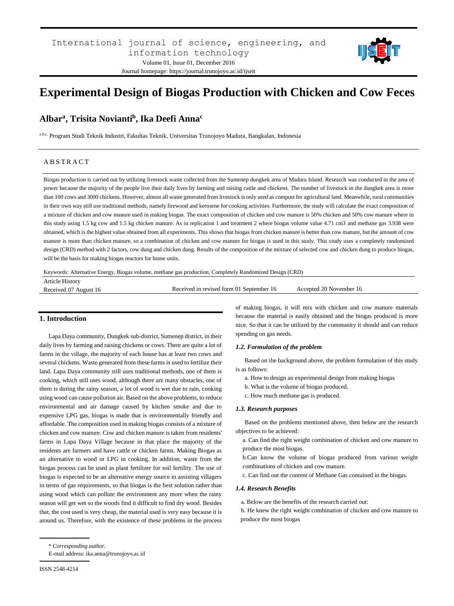

# **Experimental Design of Biogas Production with Chicken and Cow Feces**

# **Albar<sup>a</sup> , Trisita Novianti<sup>b</sup> , Ika Deefi Anna<sup>c</sup>**

a,b,c, Program Studi Teknik Industri, Fakultas Teknik, Universitas Trunojoyo Madura, Bangkalan, Indonesia

# A B S T R A C T

Biogas production is carried out by utilizing livestock waste collected from the Sumenep dungkek area of Madura Island. Research was conducted in the area of power because the majority of the people live their daily lives by farming and raising cattle and chickens. The number of livestock in the dungkek area is more than 100 cows and 3000 chickens. However, almost all waste generated from livestock is only used as compost for agricultural land. Meanwhile, rural communities in their own way still use traditional methods, namely firewood and kerosene for cooking activities. Furthermore, the study will calculate the exact composition of a mixture of chicken and cow manure used in making biogas. The exact composition of chicken and cow manure is 50% chicken and 50% cow manure where in this study using 1.5 kg cow and 1.5 kg chicken manure. As in replication 1 and treatment 2 where biogas volume value 4.71 cm3 and methane gas 3.938 were obtained, which is the highest value obtained from all experiments. This shows that biogas from chicken manure is better than cow manure, but the amount of cow manure is more than chicken manure, so a combination of chicken and cow manure for biogas is used in this study. This study uses a completely randomized design (CRD) method with 2 factors, cow dung and chicken dung. Results of the composition of the mixture of selected cow and chicken dung to produce biogas, will be the basis for making biogas reactors for home units.

Keywords: Alternative Energy, Biogas volume, methane gas production, Completely Randomized Design (CRD)

| <b>Article History</b> |                                          |                         |
|------------------------|------------------------------------------|-------------------------|
| Received 07 August 16  | Received in revised form 01 September 16 | Accepted 20 November 16 |
|                        |                                          |                         |

# **1. Introduction**

Lapa Daya community, Dungkek sub-district, Sumenep district, in their daily lives by farming and raising chickens or cows. There are quite a lot of farms in the village, the majority of each house has at least two cows and several chickens. Waste generated from these farms is used to fertilize their land. Lapa Daya community still uses traditional methods, one of them is cooking, which still uses wood, although there are many obstacles, one of them is during the rainy season, a lot of wood is wet due to rain, cooking using wood can cause pollution air. Based on the above problems, to reduce environmental and air damage caused by kitchen smoke and due to expensive LPG gas, biogas is made that is environmentally friendly and affordable. The composition used in making biogas consists of a mixture of chicken and cow manure. Cow and chicken manure is taken from residents' farms in Lapa Daya Village because in that place the majority of the residents are farmers and have cattle or chicken farms. Making Biogas as an alternative to wood or LPG in cooking. In addition, waste from the biogas process can be used as plant fertilizer for soil fertility. The use of biogas is expected to be an alternative energy source in assisting villagers in terms of gas requirements, so that biogas is the best solution rather than using wood which can pollute the environment any more when the rainy season will get wet so the woods find it difficult to find dry wood. Besides that, the cost used is very cheap, the material used is very easy because it is around us. Therefore, with the existence of these problems in the process

of making biogas, it will mix with chicken and cow manure materials because the material is easily obtained and the biogas produced is more nice. So that it can be utilized by the community it should and can reduce spending on gas needs.

#### *1.2. Formulation of the problem*

Based on the background above, the problem formulation of this study is as follows:

- a. How to design an experimental design from making biogas
- b. What is the volume of biogas produced.
- c. How much methane gas is produced.

# *1.3. Research purposes*

Based on the problems mentioned above, then below are the research objectives to be achieved:

a. Can find the right weight combination of chicken and cow manure to produce the most biogas.

b.Can know the volume of biogas produced from various weight combinations of chicken and cow manure.

c. Can find out the content of Methane Gas contained in the biogas.

#### *1.4. Research Benefits*

a. Below are the benefits of the research carried out:

b. He knew the right weight combination of chicken and cow manure to produce the most biogas

E-mail address: ika.anna@trunojoyo.ac.id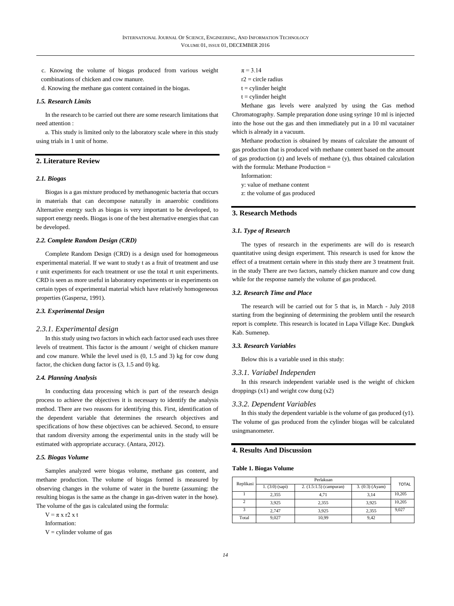c. Knowing the volume of biogas produced from various weight combinations of chicken and cow manure.

d. Knowing the methane gas content contained in the biogas.

### *1.5. Research Limits*

In the research to be carried out there are some research limitations that need attention :

a. This study is limited only to the laboratory scale where in this study using trials in 1 unit of home.

# **2. Literature Review**

#### *2.1. Biogas*

Biogas is a gas mixture produced by methanogenic bacteria that occurs in materials that can decompose naturally in anaerobic conditions Alternative energy such as biogas is very important to be developed, to support energy needs. Biogas is one of the best alternative energies that can be developed.

# *2.2. Complete Random Design (CRD)*

Complete Random Design (CRD) is a design used for homogeneous experimental material. If we want to study t as a fruit of treatment and use r unit experiments for each treatment or use the total rt unit experiments. CRD is seen as more useful in laboratory experiments or in experiments on certain types of experimental material which have relatively homogeneous properties (Gaspersz, 1991).

# *2.3. Experimental Design*

#### *2.3.1. Experimental design*

In this study using two factors in which each factor used each uses three levels of treatment. This factor is the amount / weight of chicken manure and cow manure. While the level used is (0, 1.5 and 3) kg for cow dung factor, the chicken dung factor is (3, 1.5 and 0) kg.

#### *2.4. Planning Analysis*

In conducting data processing which is part of the research design process to achieve the objectives it is necessary to identify the analysis method. There are two reasons for identifying this. First, identification of the dependent variable that determines the research objectives and specifications of how these objectives can be achieved. Second, to ensure that random diversity among the experimental units in the study will be estimated with appropriate accuracy. (Antara, 2012).

#### *2.5. Biogas Volume*

Samples analyzed were biogas volume, methane gas content, and methane production. The volume of biogas formed is measured by observing changes in the volume of water in the burette (assuming: the resulting biogas is the same as the change in gas-driven water in the hose). The volume of the gas is calculated using the formula:

 $V = \pi x r^2 x t$ Information:

 $V =$  cylinder volume of gas

 $\pi = 3.14$ 

 $r2$  = circle radius

 $t =$  cylinder height

 $t =$  cylinder height

Methane gas levels were analyzed by using the Gas method Chromatography. Sample preparation done using syringe 10 ml is injected into the hose out the gas and then immediately put in a 10 ml vacutainer which is already in a vacuum.

Methane production is obtained by means of calculate the amount of gas production that is produced with methane content based on the amount of gas production (z) and levels of methane (y), thus obtained calculation with the formula: Methane Production =

Information:

y: value of methane content

z: the volume of gas produced

# **3. Research Methods**

## *3.1. Type of Research*

The types of research in the experiments are will do is research quantitative using design experiment. This research is used for know the effect of a treatment certain where in this study there are 3 treatment fruit. in the study There are two factors, namely chicken manure and cow dung while for the response namely the volume of gas produced.

#### *3.2. Research Time and Place*

The research will be carried out for 5 that is, in March - July 2018 starting from the beginning of determining the problem until the research report is complete. This research is located in Lapa Village Kec. Dungkek Kab. Sumenep.

#### *3.3. Research Variables*

Below this is a variable used in this study:

# *3.3.1. Variabel Independen*

In this research independent variable used is the weight of chicken droppings  $(x1)$  and weight cow dung  $(x2)$ 

### *3.3.2. Dependent Variables*

In this study the dependent variable is the volume of gas produced (y1). The volume of gas produced from the cylinder biogas will be calculated usingmanometer.

# **4. Results And Discussion**

#### **Table 1. Biogas Volume**

| Replikasi | Perlakuan         |                           |                 |              |
|-----------|-------------------|---------------------------|-----------------|--------------|
|           | $1. (3:0)$ (sapi) | $2. (1.5:1.5)$ (campuran) | 3. (0.3) (Ayam) | <b>TOTAL</b> |
|           | 2.355             | 4.71                      | 3.14            | 10,205       |
|           | 3.925             | 2.355                     | 3.925           | 10.205       |
|           | 2.747             | 3.925                     | 2.355           | 9.027        |
| Total     | 9,027             | 10,99                     | 9,42            |              |